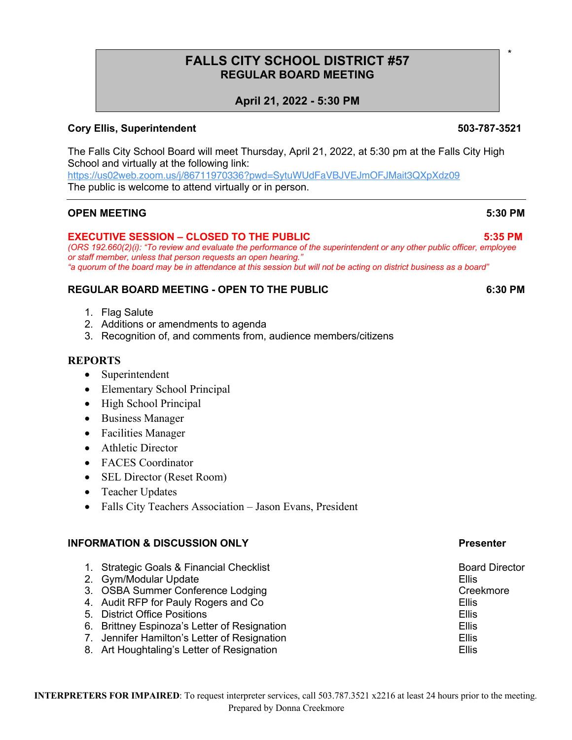# **FALLS CITY SCHOOL DISTRICT #57 REGULAR BOARD MEETING**

# **April 21, 2022 - 5:30 PM**

## **Cory Ellis, Superintendent 503-787-3521**

The Falls City School Board will meet Thursday, April 21, 2022, at 5:30 pm at the Falls City High School and virtually at the following link: https://us02web.zoom.us/j/86711970336?pwd=SytuWUdFaVBJVEJmOFJMait3QXpXdz09

The public is welcome to attend virtually or in person.

### **OPEN MEETING 5:30 PM**

### **EXECUTIVE SESSION – CLOSED TO THE PUBLIC 5:35 PM**

*(ORS 192.660(2)(i): "To review and evaluate the performance of the superintendent or any other public officer, employee or staff member, unless that person requests an open hearing." "a quorum of the board may be in attendance at this session but will not be acting on district business as a board"*

### **REGULAR BOARD MEETING - OPEN TO THE PUBLIC 6:30 PM**

- 1. Flag Salute
- 2. Additions or amendments to agenda
- 3. Recognition of, and comments from, audience members/citizens

### **REPORTS**

- Superintendent
- Elementary School Principal
- High School Principal
- Business Manager
- Facilities Manager
- Athletic Director
- FACES Coordinator
- SEL Director (Reset Room)
- Teacher Updates
- Falls City Teachers Association Jason Evans, President

### **INFORMATION & DISCUSSION ONLY Presenter**

- 1. Strategic Goals & Financial Checklist Board Director Board Director
- 2. Gym/Modular Update **Ellis**
- 3. OSBA Summer Conference Lodging Creekmore Creekmore
- 4. Audit RFP for Pauly Rogers and Co **Ellis** Ellis
- 5. District Office Positions Ellis
- 6. Brittney Espinoza's Letter of Resignation **Ellis** Ellis
- 7. Jennifer Hamilton's Letter of Resignation **Ellis** Ellis
- 8. Art Houghtaling's Letter of Resignation **Ellis** Ellis

\*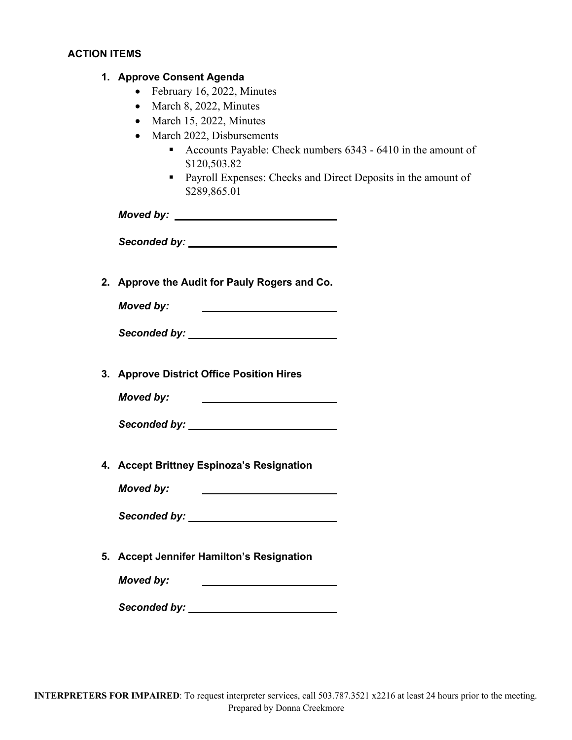# **ACTION ITEMS**

|  |  | 1. Approve Consent Agenda |  |
|--|--|---------------------------|--|
|--|--|---------------------------|--|

- February 16, 2022, Minutes
- March 8, 2022, Minutes
- March 15, 2022, Minutes
- March 2022, Disbursements
	- Accounts Payable: Check numbers 6343 6410 in the amount of \$120,503.82
	- Payroll Expenses: Checks and Direct Deposits in the amount of \$289,865.01

*Moved by:* 

*Seconded by:*

**2. Approve the Audit for Pauly Rogers and Co.**

*Moved by:* the contract of the contract of the contract of

*Seconded by:*

**3. Approve District Office Position Hires**

*Moved by:*

*Seconded by:*

**4. Accept Brittney Espinoza's Resignation**

*Moved by:*

*Seconded by:*

**5. Accept Jennifer Hamilton's Resignation**

*Moved by:*

*Seconded by:*

<u> 1980 - Andrea Brand, amerikansk politik (</u>